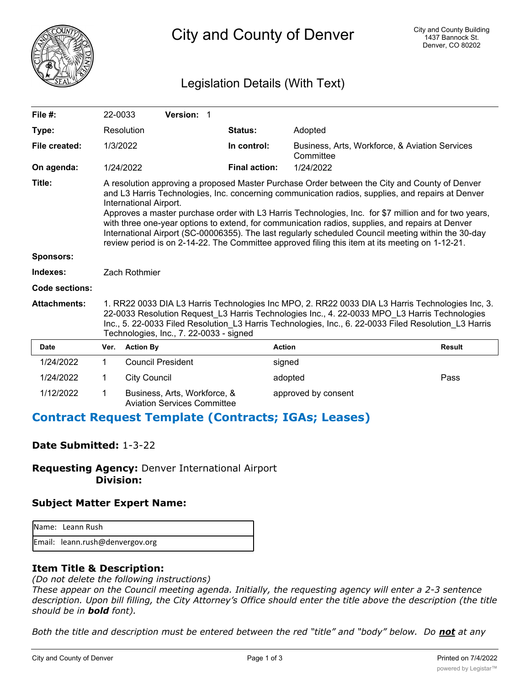

City and County of Denver

## Legislation Details (With Text)

| File $#$ :            | 22-0033                                                                                                                                                                                                                                                                                                                                               |                                                                                                                                                                                                                                                                                                                                                                                                                                                                                                                                                                                                                                                     | Version: 1                   |  |                      |                                                             |               |  |
|-----------------------|-------------------------------------------------------------------------------------------------------------------------------------------------------------------------------------------------------------------------------------------------------------------------------------------------------------------------------------------------------|-----------------------------------------------------------------------------------------------------------------------------------------------------------------------------------------------------------------------------------------------------------------------------------------------------------------------------------------------------------------------------------------------------------------------------------------------------------------------------------------------------------------------------------------------------------------------------------------------------------------------------------------------------|------------------------------|--|----------------------|-------------------------------------------------------------|---------------|--|
| Type:                 |                                                                                                                                                                                                                                                                                                                                                       | Resolution                                                                                                                                                                                                                                                                                                                                                                                                                                                                                                                                                                                                                                          |                              |  | Status:              | Adopted                                                     |               |  |
| File created:         | 1/3/2022                                                                                                                                                                                                                                                                                                                                              |                                                                                                                                                                                                                                                                                                                                                                                                                                                                                                                                                                                                                                                     |                              |  | In control:          | Business, Arts, Workforce, & Aviation Services<br>Committee |               |  |
| On agenda:            |                                                                                                                                                                                                                                                                                                                                                       | 1/24/2022                                                                                                                                                                                                                                                                                                                                                                                                                                                                                                                                                                                                                                           |                              |  | <b>Final action:</b> | 1/24/2022                                                   |               |  |
| Title:                |                                                                                                                                                                                                                                                                                                                                                       | A resolution approving a proposed Master Purchase Order between the City and County of Denver<br>and L3 Harris Technologies, Inc. concerning communication radios, supplies, and repairs at Denver<br>International Airport.<br>Approves a master purchase order with L3 Harris Technologies, Inc. for \$7 million and for two years,<br>with three one-year options to extend, for communication radios, supplies, and repairs at Denver<br>International Airport (SC-00006355). The last regularly scheduled Council meeting within the 30-day<br>review period is on 2-14-22. The Committee approved filing this item at its meeting on 1-12-21. |                              |  |                      |                                                             |               |  |
| <b>Sponsors:</b>      |                                                                                                                                                                                                                                                                                                                                                       |                                                                                                                                                                                                                                                                                                                                                                                                                                                                                                                                                                                                                                                     |                              |  |                      |                                                             |               |  |
| Indexes:              |                                                                                                                                                                                                                                                                                                                                                       | Zach Rothmier                                                                                                                                                                                                                                                                                                                                                                                                                                                                                                                                                                                                                                       |                              |  |                      |                                                             |               |  |
| <b>Code sections:</b> |                                                                                                                                                                                                                                                                                                                                                       |                                                                                                                                                                                                                                                                                                                                                                                                                                                                                                                                                                                                                                                     |                              |  |                      |                                                             |               |  |
| <b>Attachments:</b>   | 1. RR22 0033 DIA L3 Harris Technologies Inc MPO, 2. RR22 0033 DIA L3 Harris Technologies Inc, 3.<br>22-0033 Resolution Request L3 Harris Technologies Inc., 4. 22-0033 MPO L3 Harris Technologies<br>Inc., 5. 22-0033 Filed Resolution L3 Harris Technologies, Inc., 6. 22-0033 Filed Resolution L3 Harris<br>Technologies, Inc., 7. 22-0033 - signed |                                                                                                                                                                                                                                                                                                                                                                                                                                                                                                                                                                                                                                                     |                              |  |                      |                                                             |               |  |
| <b>Date</b>           | Ver.                                                                                                                                                                                                                                                                                                                                                  | <b>Action By</b>                                                                                                                                                                                                                                                                                                                                                                                                                                                                                                                                                                                                                                    |                              |  | <b>Action</b>        |                                                             | <b>Result</b> |  |
| 1/24/2022             | 1                                                                                                                                                                                                                                                                                                                                                     |                                                                                                                                                                                                                                                                                                                                                                                                                                                                                                                                                                                                                                                     | <b>Council President</b>     |  | signed               |                                                             |               |  |
| 1/24/2022             | 1                                                                                                                                                                                                                                                                                                                                                     | <b>City Council</b>                                                                                                                                                                                                                                                                                                                                                                                                                                                                                                                                                                                                                                 |                              |  | adopted              |                                                             | Pass          |  |
| 1/12/2022             | 1                                                                                                                                                                                                                                                                                                                                                     |                                                                                                                                                                                                                                                                                                                                                                                                                                                                                                                                                                                                                                                     | Business, Arts, Workforce, & |  |                      | approved by consent                                         |               |  |

Aviation Services Committee

### **Contract Request Template (Contracts; IGAs; Leases)**

#### **Date Submitted:** 1-3-22

**Requesting Agency:** Denver International Airport  **Division:**

#### **Subject Matter Expert Name:**

| <b>I</b> Name: Leann Rush       |
|---------------------------------|
| Email: leann.rush@denvergov.org |

#### **Item Title & Description:**

*(Do not delete the following instructions)*

*These appear on the Council meeting agenda. Initially, the requesting agency will enter a 2-3 sentence description. Upon bill filling, the City Attorney's Office should enter the title above the description (the title should be in bold font).*

*Both the title and description must be entered between the red "title" and "body" below. Do not at any*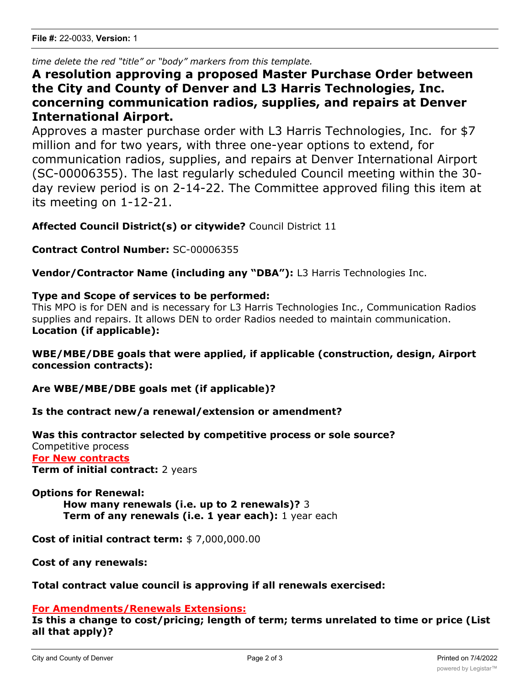*time delete the red "title" or "body" markers from this template.*

# **A resolution approving a proposed Master Purchase Order between the City and County of Denver and L3 Harris Technologies, Inc. concerning communication radios, supplies, and repairs at Denver International Airport.**

Approves a master purchase order with L3 Harris Technologies, Inc. for \$7 million and for two years, with three one-year options to extend, for communication radios, supplies, and repairs at Denver International Airport (SC-00006355). The last regularly scheduled Council meeting within the 30 day review period is on 2-14-22. The Committee approved filing this item at its meeting on 1-12-21.

**Affected Council District(s) or citywide?** Council District 11

**Contract Control Number:** SC-00006355

**Vendor/Contractor Name (including any "DBA"):** L3 Harris Technologies Inc.

#### **Type and Scope of services to be performed:**

This MPO is for DEN and is necessary for L3 Harris Technologies Inc., Communication Radios supplies and repairs. It allows DEN to order Radios needed to maintain communication. **Location (if applicable):**

### **WBE/MBE/DBE goals that were applied, if applicable (construction, design, Airport concession contracts):**

**Are WBE/MBE/DBE goals met (if applicable)?**

**Is the contract new/a renewal/extension or amendment?**

#### **Was this contractor selected by competitive process or sole source?**

Competitive process **For New contracts Term of initial contract:** 2 years

#### **Options for Renewal:**

**How many renewals (i.e. up to 2 renewals)?** 3 **Term of any renewals (i.e. 1 year each):** 1 year each

**Cost of initial contract term:** \$ 7,000,000.00

**Cost of any renewals:**

#### **Total contract value council is approving if all renewals exercised:**

#### **For Amendments/Renewals Extensions:**

**Is this a change to cost/pricing; length of term; terms unrelated to time or price (List all that apply)?**